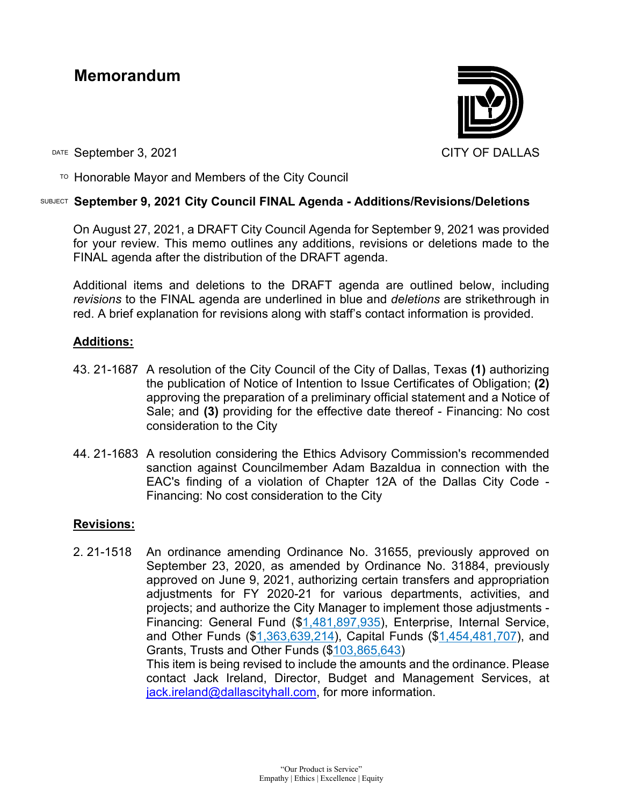# **Memorandum**



DATE September 3, 2021 CITY OF DALLAS

 $\overline{P}$  Honorable Mayor and Members of the City Council

### SUBJECT **September 9, 2021 City Council FINAL Agenda - Additions/Revisions/Deletions**

On August 27, 2021, a DRAFT City Council Agenda for September 9, 2021 was provided for your review. This memo outlines any additions, revisions or deletions made to the FINAL agenda after the distribution of the DRAFT agenda.

Additional items and deletions to the DRAFT agenda are outlined below, including *revisions* to the FINAL agenda are underlined in blue and *deletions* are strikethrough in red. A brief explanation for revisions along with staff's contact information is provided.

### **Additions:**

- 43. 21-1687 A resolution of the City Council of the City of Dallas, Texas **(1)** authorizing the publication of Notice of Intention to Issue Certificates of Obligation; **(2)** approving the preparation of a preliminary official statement and a Notice of Sale; and **(3)** providing for the effective date thereof - Financing: No cost consideration to the City
- 44. 21-1683 A resolution considering the Ethics Advisory Commission's recommended sanction against Councilmember Adam Bazaldua in connection with the EAC's finding of a violation of Chapter 12A of the Dallas City Code - Financing: No cost consideration to the City

## **Revisions:**

2. 21-1518 An ordinance amending Ordinance No. 31655, previously approved on September 23, 2020, as amended by Ordinance No. 31884, previously approved on June 9, 2021, authorizing certain transfers and appropriation adjustments for FY 2020-21 for various departments, activities, and projects; and authorize the City Manager to implement those adjustments - Financing: General Fund (\$1,481,897,935), Enterprise, Internal Service, and Other Funds (\$1,363,639,214), Capital Funds (\$1,454,481,707), and Grants, Trusts and Other Funds (\$103,865,643) This item is being revised to include the amounts and the ordinance. Please contact Jack Ireland, Director, Budget and Management Services, at [jack.ireland@dallascityhall.com,](mailto:jack.ireland@dallascityhall.com) for more information.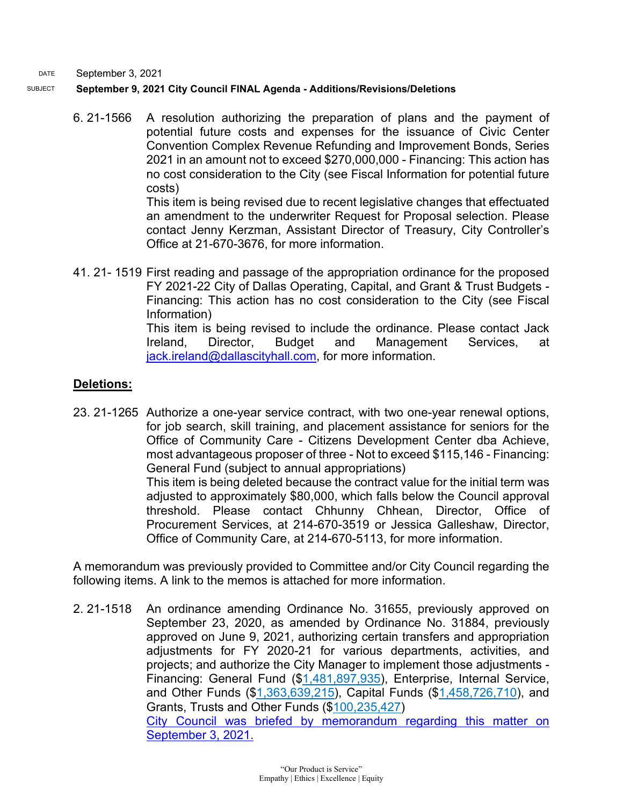DATE September 3, 2021

#### SUBJECT **September 9, 2021 City Council FINAL Agenda - Additions/Revisions/Deletions**

6. 21-1566 A resolution authorizing the preparation of plans and the payment of potential future costs and expenses for the issuance of Civic Center Convention Complex Revenue Refunding and Improvement Bonds, Series 2021 in an amount not to exceed \$270,000,000 - Financing: This action has no cost consideration to the City (see Fiscal Information for potential future costs)

This item is being revised due to recent legislative changes that effectuated an amendment to the underwriter Request for Proposal selection. Please contact Jenny Kerzman, Assistant Director of Treasury, City Controller's Office at 21-670-3676, for more information.

41. 21- 1519 First reading and passage of the appropriation ordinance for the proposed FY 2021-22 City of Dallas Operating, Capital, and Grant & Trust Budgets - Financing: This action has no cost consideration to the City (see Fiscal Information) This item is being revised to include the ordinance. Please contact Jack Ireland, Director, Budget and Management Services, at

[jack.ireland@dallascityhall.com,](mailto:jack.ireland@dallascityhall.com) for more information.

# **Deletions:**

23. 21-1265 Authorize a one-year service contract, with two one-year renewal options, for job search, skill training, and placement assistance for seniors for the Office of Community Care - Citizens Development Center dba Achieve, most advantageous proposer of three - Not to exceed \$115,146 - Financing: General Fund (subject to annual appropriations) This item is being deleted because the contract value for the initial term was adjusted to approximately \$80,000, which falls below the Council approval threshold. Please contact Chhunny Chhean, Director, Office of Procurement Services, at 214-670-3519 or Jessica Galleshaw, Director, Office of Community Care, at 214-670-5113, for more information.

A memorandum was previously provided to Committee and/or City Council regarding the following items. A link to the memos is attached for more information.

2. 21-1518 An ordinance amending Ordinance No. 31655, previously approved on September 23, 2020, as amended by Ordinance No. 31884, previously approved on June 9, 2021, authorizing certain transfers and appropriation adjustments for FY 2020-21 for various departments, activities, and projects; and authorize the City Manager to implement those adjustments - Financing: General Fund (\$1,481,897,935), Enterprise, Internal Service, and Other Funds (\$1,363,639,215), Capital Funds (\$1,458,726,710), and Grants, Trusts and Other Funds (\$100,235,427) City Council was [briefed by memorandum regarding this matter on](https://dallascityhall.com/government/citymanager/Documents/FY%2020-21%20Memos/3-budget-ordinance_memo_090321.pdf)  [September 3, 2021.](https://dallascityhall.com/government/citymanager/Documents/FY%2020-21%20Memos/3-budget-ordinance_memo_090321.pdf)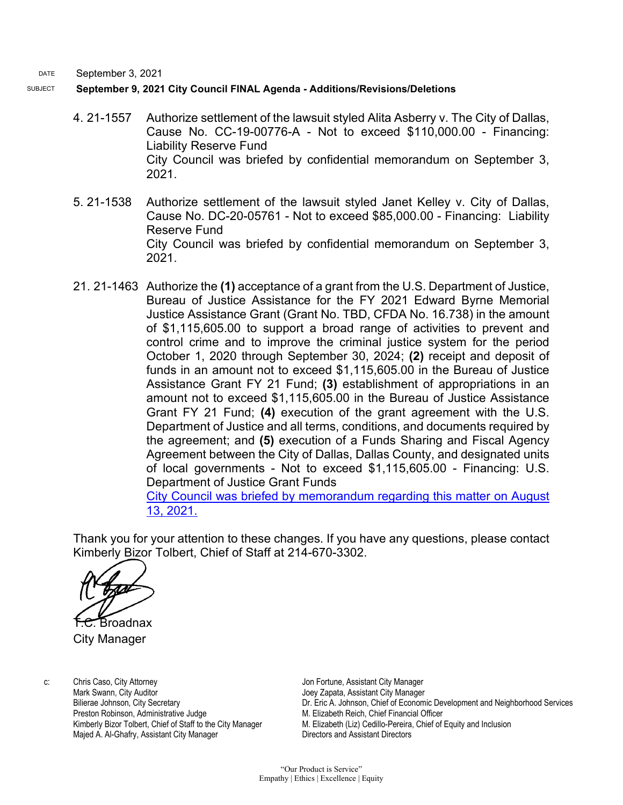DATE September 3, 2021

SUBJECT **September 9, 2021 City Council FINAL Agenda - Additions/Revisions/Deletions**

- 4. 21-1557 Authorize settlement of the lawsuit styled Alita Asberry v. The City of Dallas, Cause No. CC-19-00776-A - Not to exceed \$110,000.00 - Financing: Liability Reserve Fund City Council was briefed by confidential memorandum on September 3, 2021.
- 5. 21-1538 Authorize settlement of the lawsuit styled Janet Kelley v. City of Dallas, Cause No. DC-20-05761 - Not to exceed \$85,000.00 - Financing: Liability Reserve Fund City Council was briefed by confidential memorandum on September 3, 2021.
- 21. 21-1463 Authorize the **(1)** acceptance of a grant from the U.S. Department of Justice, Bureau of Justice Assistance for the FY 2021 Edward Byrne Memorial Justice Assistance Grant (Grant No. TBD, CFDA No. 16.738) in the amount of \$1,115,605.00 to support a broad range of activities to prevent and control crime and to improve the criminal justice system for the period October 1, 2020 through September 30, 2024; **(2)** receipt and deposit of funds in an amount not to exceed \$1,115,605.00 in the Bureau of Justice Assistance Grant FY 21 Fund; **(3)** establishment of appropriations in an amount not to exceed \$1,115,605.00 in the Bureau of Justice Assistance Grant FY 21 Fund; **(4)** execution of the grant agreement with the U.S. Department of Justice and all terms, conditions, and documents required by the agreement; and **(5)** execution of a Funds Sharing and Fiscal Agency Agreement between the City of Dallas, Dallas County, and designated units of local governments - Not to exceed \$1,115,605.00 - Financing: U.S. Department of Justice Grant Funds

[City Council was briefed by memorandum regarding this matter on August](https://dallascityhall.com/government/citymanager/Documents/FY%2020-21%20Memos/JAG21%20Council%20Memo_081321.pdf)  [13, 2021.](https://dallascityhall.com/government/citymanager/Documents/FY%2020-21%20Memos/JAG21%20Council%20Memo_081321.pdf)

Thank you for your attention to these changes. If you have any questions, please contact Kimberly Bizor Tolbert, Chief of Staff at 214-670-3302.

Broadnax

City Manager

c: Chris Caso, City Attorney Mark Swann, City Auditor Bilierae Johnson, City Secretary Preston Robinson, Administrative Judge Kimberly Bizor Tolbert, Chief of Staff to the City Manager Majed A. Al-Ghafry, Assistant City Manager

Jon Fortune, Assistant City Manager Joey Zapata, Assistant City Manager Dr. Eric A. Johnson, Chief of Economic Development and Neighborhood Services M. Elizabeth Reich, Chief Financial Officer M. Elizabeth (Liz) Cedillo-Pereira, Chief of Equity and Inclusion Directors and Assistant Directors

"Our Product is Service" Empathy | Ethics | Excellence | Equity